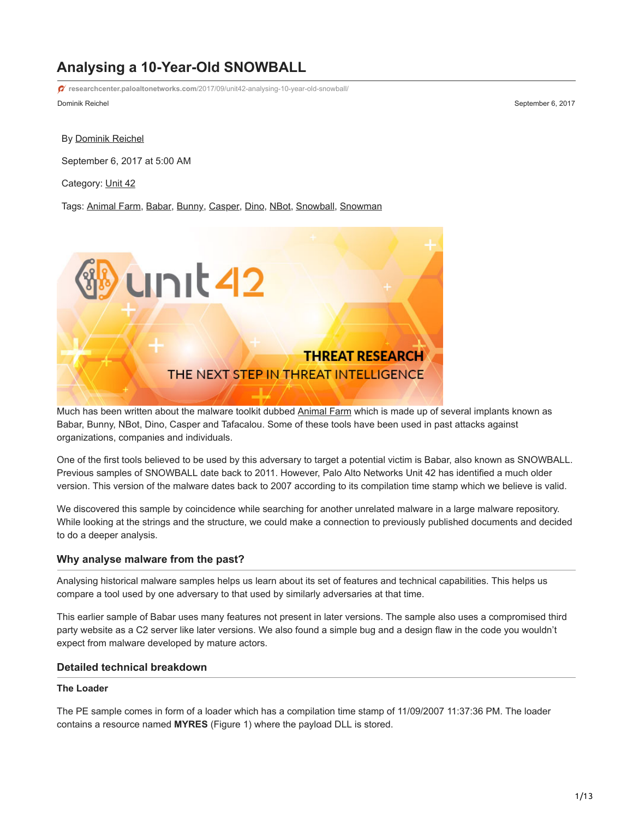# **Analysing a 10-Year-Old SNOWBALL**

Dominik Reichel September 6, 2017 **researchcenter.paloaltonetworks.com**[/2017/09/unit42-analysing-10-year-old-snowball/](https://researchcenter.paloaltonetworks.com/2017/09/unit42-analysing-10-year-old-snowball/)

By [Dominik Reichel](https://unit42.paloaltonetworks.com/author/dominik-reichel/)

September 6, 2017 at 5:00 AM

Category: [Unit 42](https://unit42.paloaltonetworks.com/category/unit42/)

Tags: [Animal Farm](https://unit42.paloaltonetworks.com/tag/animal-farm/), [Babar,](https://unit42.paloaltonetworks.com/tag/babar/) [Bunny](https://unit42.paloaltonetworks.com/tag/bunny/), [Casper,](https://unit42.paloaltonetworks.com/tag/casper/) [Dino,](https://unit42.paloaltonetworks.com/tag/dino/) [NBot,](https://unit42.paloaltonetworks.com/tag/nbot/) [Snowball,](https://unit42.paloaltonetworks.com/tag/snowball/) [Snowman](https://unit42.paloaltonetworks.com/tag/snowman/)



Much has been written about the malware toolkit dubbed [Animal Farm](https://securelist.com/animals-in-the-apt-farm/69114/) which is made up of several implants known as Babar, Bunny, NBot, Dino, Casper and Tafacalou. Some of these tools have been used in past attacks against organizations, companies and individuals.

One of the first tools believed to be used by this adversary to target a potential victim is Babar, also known as SNOWBALL. Previous samples of SNOWBALL date back to 2011. However, Palo Alto Networks Unit 42 has identified a much older version. This version of the malware dates back to 2007 according to its compilation time stamp which we believe is valid.

We discovered this sample by coincidence while searching for another unrelated malware in a large malware repository. While looking at the strings and the structure, we could make a connection to previously published documents and decided to do a deeper analysis.

#### **Why analyse malware from the past?**

Analysing historical malware samples helps us learn about its set of features and technical capabilities. This helps us compare a tool used by one adversary to that used by similarly adversaries at that time.

This earlier sample of Babar uses many features not present in later versions. The sample also uses a compromised third party website as a C2 server like later versions. We also found a simple bug and a design flaw in the code you wouldn't expect from malware developed by mature actors.

#### **Detailed technical breakdown**

#### **The Loader**

The PE sample comes in form of a loader which has a compilation time stamp of 11/09/2007 11:37:36 PM. The loader contains a resource named **MYRES** (Figure 1) where the payload DLL is stored.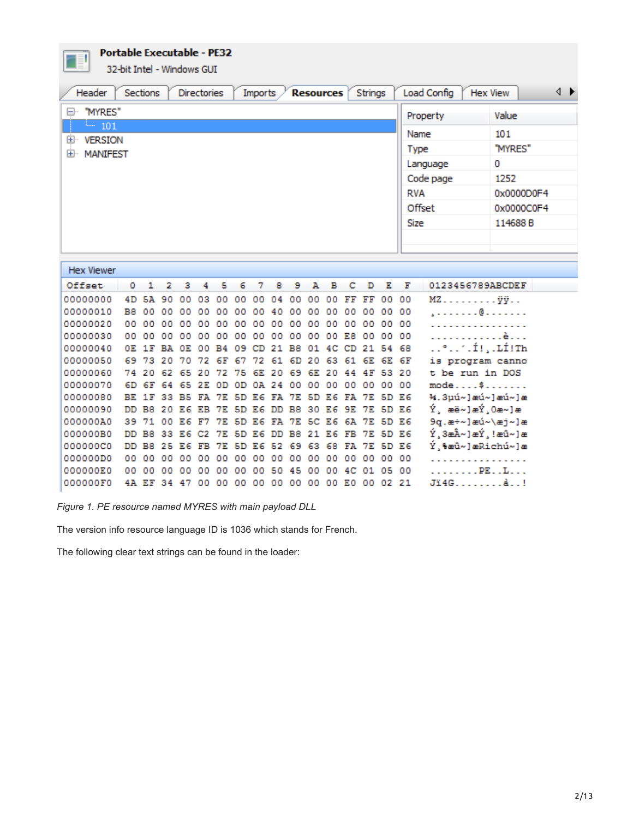**Portable Executable - PE32** 

32-bit Intel - Windows GUI

| "MYRES"<br>H.<br>Value<br>Property<br>$-101$<br>101<br>Name<br>$+$<br><b>VERSION</b><br>"MYRES"<br>Type<br>MANIFEST<br>$+$<br>0<br>Language                                                                                                              |
|----------------------------------------------------------------------------------------------------------------------------------------------------------------------------------------------------------------------------------------------------------|
|                                                                                                                                                                                                                                                          |
|                                                                                                                                                                                                                                                          |
|                                                                                                                                                                                                                                                          |
|                                                                                                                                                                                                                                                          |
| Code page<br>1252                                                                                                                                                                                                                                        |
| <b>RVA</b><br>0x0000D0F4                                                                                                                                                                                                                                 |
| Offset<br>0x0000C0F4                                                                                                                                                                                                                                     |
|                                                                                                                                                                                                                                                          |
| 114688B<br><b>Size</b>                                                                                                                                                                                                                                   |
|                                                                                                                                                                                                                                                          |
|                                                                                                                                                                                                                                                          |
| <b>Hex Viewer</b>                                                                                                                                                                                                                                        |
| 0123456789ABCDEF<br>Offset<br>2<br>з<br>5<br>6<br>8<br>э<br>А<br>в<br>с<br>D<br>Е<br>F<br>٥<br>1<br>4<br>7                                                                                                                                               |
| 00000000<br>4D<br>5A<br>90<br>٥o<br>03<br>00<br>00<br>00<br>00<br>FF<br>FF<br>00<br>00<br>$MZ$ $\ddot{y}\ddot{y}$<br>00<br>00<br>04                                                                                                                      |
| 00000010<br>B8<br>00<br>00<br>. @<br>00<br>00<br>00<br>00<br>00<br>00<br>00<br>00<br>00<br>00<br>٥٥<br>00<br>40                                                                                                                                          |
| 00000020<br>00<br>00<br>00<br>00<br>00<br>00<br>00<br>00<br>00<br>00<br>00<br>00<br>$^{00}$<br>$^{00}$<br>00<br>00<br>2 2 2 2 2 2 2<br>00000030                                                                                                          |
| 00<br>00<br>00<br>٥o<br>00<br>00<br>00<br>00<br>00<br>00<br>00<br>00<br>E8<br>oo<br>00<br>00<br>. <b>è</b><br>°1.Í!,.LÍ!Th<br>00000040<br>B <sub>8</sub><br>01<br>54 68<br>0E 1F<br>вA<br>OЕ<br>B <sub>4</sub><br>09<br>21<br>4C<br>CD<br>21<br>٥o<br>CD |
| 00000050<br>is program canno<br>69.<br>73<br>20<br>70<br>72<br>61<br>6D<br>20<br>63<br>61<br>6E<br>6E 6F<br>72<br>6F<br>67                                                                                                                               |
| 00000060<br>20<br>62<br>69<br>6E<br>4 F<br>53<br>20<br>t be run in DOS<br>74<br>65<br>20<br>2<br>75<br>6Е.<br>20<br>20<br>44                                                                                                                             |
| 00000070<br>$mode$ \$<br>6D<br>6F<br>64<br>2E<br>24<br>00<br>00<br>00<br>o٥<br>o٥<br>65<br>0D<br>ΟĐ<br>0A<br>00<br>00                                                                                                                                    |
| %.3µú~]æú~]æú~]æ<br>00000080<br>5D E6<br>BE 1F<br>33<br>вs<br>5D<br>E6<br>7E<br>5D<br>7E<br>FA<br>7E<br>FA.<br>E6<br>FA                                                                                                                                  |
| Ý, æë∼]æÝ,0æ∼]æ<br>00000090<br>DD B8<br>B8<br>30<br>7E<br>5D E6<br>20<br>E6<br>7E<br>5D E6<br>E 6<br>9E<br>ΕВ<br>DD.                                                                                                                                     |
| 9q.æ÷~]æú~\æj~]æ<br>000000A0<br>5D E6<br>39.<br>71<br>00<br>E 6<br>7E<br>5D<br>E6<br>7E<br>5C<br>E6<br>6A<br>7E<br>F7<br>FA.<br>Ý,3æÂ∼]æÝ,!æû∼]æ<br>33<br><b>7E</b><br>5D                                                                                |
| 000000B0<br>DD B8<br>E6<br>B8<br>21<br>E6<br><b>7E</b><br>5D E6<br>E6<br>DD<br>FВ<br>C2<br>Ý,%æû~]æRichú~]æ<br>000000C0<br>25<br>63<br>5D E6<br>DD B8<br>E6<br>7E<br>5D<br>E6<br>52<br>-69<br>68<br>7E<br>FB<br>FА                                       |
| 000000D0<br>00<br>00<br>00 00<br>oo.<br>$^{00}$<br>$^{00}$<br>٥o<br>٥o<br>00<br>00<br>o٥<br>00<br>o٥<br>00<br>oo                                                                                                                                         |
| . <b>PE L</b><br>000000E0<br>05<br>00<br>00<br>$^{00}$<br>00<br>$^{00}$<br>o٥<br>o٥<br>00<br>o٥<br>50<br>45<br>00<br>00<br>4C<br>01                                                                                                                      |
| Jï4Gå!<br>000000F0<br>4A EF<br>34<br>00<br>00<br>E0 00<br>02 21<br>-47<br>00<br>$^{00}$<br>oo<br>oo.<br>00<br>$^{00}$                                                                                                                                    |

*Figure 1. PE resource named MYRES with main payload DLL*

The version info resource language ID is 1036 which stands for French.

The following clear text strings can be found in the loader: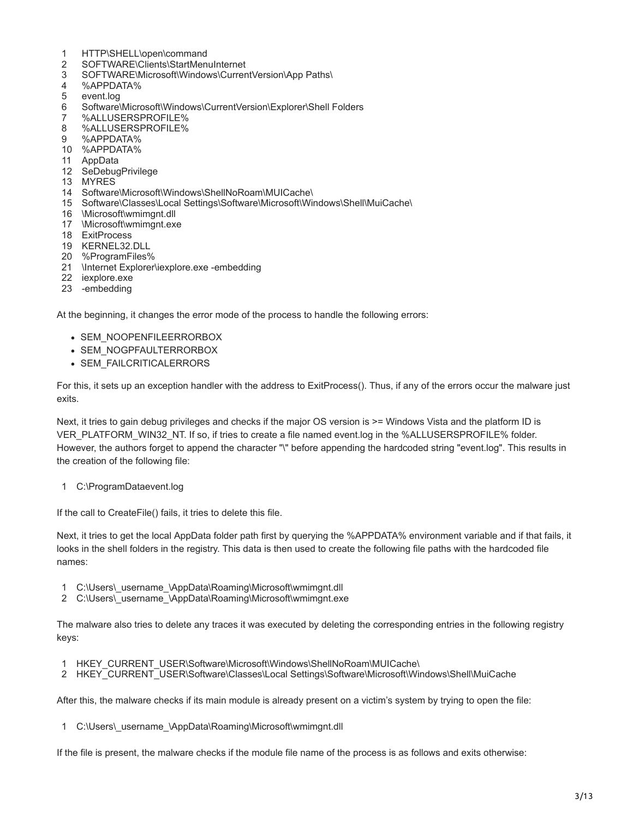- 1 HTTP\SHELL\open\command
- 2 SOFTWARE\Clients\StartMenuInternet
- 3 SOFTWARE\Microsoft\Windows\CurrentVersion\App Paths\
- 4 %APPDATA%
- 5 event.log
- 6 Software\Microsoft\Windows\CurrentVersion\Explorer\Shell Folders
- 7 %ALLUSERSPROFILE%
- 8 %ALLUSERSPROFILE%
- 9 %APPDATA%
- 10 %APPDATA%
- 11 AppData
- 12 SeDebugPrivilege
- 13 MYRES
- 14 Software\Microsoft\Windows\ShellNoRoam\MUICache\
- 15 Software\Classes\Local Settings\Software\Microsoft\Windows\Shell\MuiCache\
- 16 \Microsoft\wmimgnt.dll
- 17 \Microsoft\wmimgnt.exe
- 18 ExitProcess
- 19 KERNEL32.DLL
- 20 %ProgramFiles%
- 21 \Internet Explorer\iexplore.exe -embedding
- 22 iexplore.exe
- 23 -embedding

At the beginning, it changes the error mode of the process to handle the following errors:

- SEM\_NOOPENFILEERRORBOX
- SEM\_NOGPFAULTERRORBOX
- SEM\_FAILCRITICALERRORS

For this, it sets up an exception handler with the address to ExitProcess(). Thus, if any of the errors occur the malware just exits.

Next, it tries to gain debug privileges and checks if the major OS version is  $\geq$ = Windows Vista and the platform ID is VER\_PLATFORM\_WIN32\_NT. If so, if tries to create a file named event.log in the %ALLUSERSPROFILE% folder. However, the authors forget to append the character "\" before appending the hardcoded string "event.log". This results in the creation of the following file:

1 C:\ProgramDataevent.log

If the call to CreateFile() fails, it tries to delete this file.

Next, it tries to get the local AppData folder path first by querying the %APPDATA% environment variable and if that fails, it looks in the shell folders in the registry. This data is then used to create the following file paths with the hardcoded file names:

- 1 C:\Users\\_username\_\AppData\Roaming\Microsoft\wmimgnt.dll
- 2 C:\Users\\_username\_\AppData\Roaming\Microsoft\wmimgnt.exe

The malware also tries to delete any traces it was executed by deleting the corresponding entries in the following registry keys:

- 1 HKEY\_CURRENT\_USER\Software\Microsoft\Windows\ShellNoRoam\MUICache\
- 2 HKEY\_CURRENT\_USER\Software\Classes\Local Settings\Software\Microsoft\Windows\Shell\MuiCache

After this, the malware checks if its main module is already present on a victim's system by trying to open the file:

1 C:\Users\\_username\_\AppData\Roaming\Microsoft\wmimgnt.dll

If the file is present, the malware checks if the module file name of the process is as follows and exits otherwise: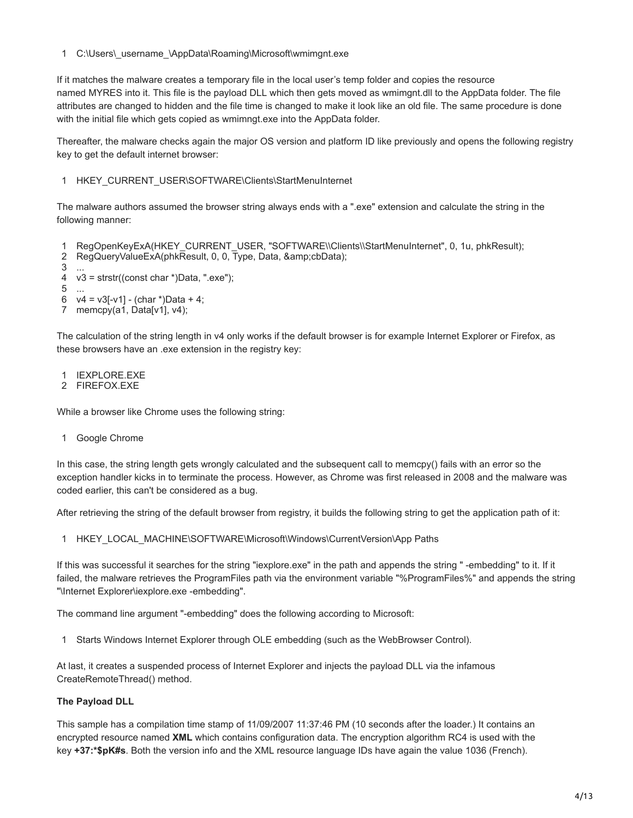1 C:\Users\\_username\_\AppData\Roaming\Microsoft\wmimgnt.exe

If it matches the malware creates a temporary file in the local user's temp folder and copies the resource named MYRES into it. This file is the payload DLL which then gets moved as wmimgnt.dll to the AppData folder. The file attributes are changed to hidden and the file time is changed to make it look like an old file. The same procedure is done with the initial file which gets copied as wmimngt.exe into the AppData folder.

Thereafter, the malware checks again the major OS version and platform ID like previously and opens the following registry key to get the default internet browser:

1 HKEY\_CURRENT\_USER\SOFTWARE\Clients\StartMenuInternet

The malware authors assumed the browser string always ends with a ".exe" extension and calculate the string in the following manner:

1 RegOpenKeyExA(HKEY\_CURRENT\_USER, "SOFTWARE\\Clients\\StartMenuInternet", 0, 1u, phkResult);  $\mathfrak{D}$ 3 4 5 6 7 memcpy(a1, Data[v1], v4); RegQueryValueExA(phkResult, 0, 0, Type, Data, &cbData); ... v3 = strstr((const char \*)Data, ".exe"); ...  $v4 = v3[-v1] - (char * )Data + 4;$ 

The calculation of the string length in v4 only works if the default browser is for example Internet Explorer or Firefox, as these browsers have an .exe extension in the registry key:

- 1 IEXPLORE.EXE
- 2 FIREFOX.EXE

While a browser like Chrome uses the following string:

1 Google Chrome

In this case, the string length gets wrongly calculated and the subsequent call to memcpy() fails with an error so the exception handler kicks in to terminate the process. However, as Chrome was first released in 2008 and the malware was coded earlier, this can't be considered as a bug.

After retrieving the string of the default browser from registry, it builds the following string to get the application path of it:

1 HKEY\_LOCAL\_MACHINE\SOFTWARE\Microsoft\Windows\CurrentVersion\App Paths

If this was successful it searches for the string "iexplore.exe" in the path and appends the string " -embedding" to it. If it failed, the malware retrieves the ProgramFiles path via the environment variable "%ProgramFiles%" and appends the string "\Internet Explorer\iexplore.exe -embedding".

The command line argument "-embedding" does the following according to Microsoft:

1 Starts Windows Internet Explorer through OLE embedding (such as the WebBrowser Control).

At last, it creates a suspended process of Internet Explorer and injects the payload DLL via the infamous CreateRemoteThread() method.

#### **The Payload DLL**

This sample has a compilation time stamp of 11/09/2007 11:37:46 PM (10 seconds after the loader.) It contains an encrypted resource named **XML** which contains configuration data. The encryption algorithm RC4 is used with the key **+37:\*\$pK#s**. Both the version info and the XML resource language IDs have again the value 1036 (French).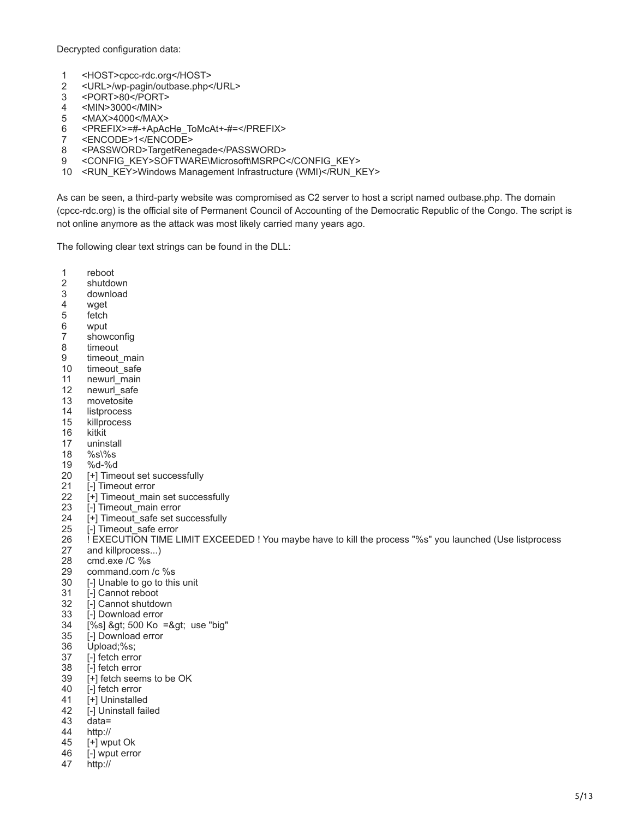Decrypted configuration data:

- 1 <HOST>cpcc-rdc.org</HOST>
- 2 <URL>/wp-pagin/outbase.php</URL>
- 3 <PORT>80</PORT>
- 4 <MIN>3000</MIN>
- 5 <MAX>4000</MAX>
- 6 <PREFIX>=#-+ApAcHe\_ToMcAt+-#=</PREFIX>
- 7 <ENCODE>1</ENCODE>
- 8 <PASSWORD>TargetRenegade</PASSWORD>
- 9 <CONFIG\_KEY>SOFTWARE\Microsoft\MSRPC</CONFIG\_KEY>
- 10 <RUN\_KEY>Windows Management Infrastructure (WMI)</RUN\_KEY>

As can be seen, a third-party website was compromised as C2 server to host a script named outbase.php. The domain (cpcc-rdc.org) is the official site of Permanent Council of Accounting of the Democratic Republic of the Congo. The script is not online anymore as the attack was most likely carried many years ago.

The following clear text strings can be found in the DLL:

- 1 reboot
- 2 shutdown
- 3 download
- 4 wget
- 5 fetch
- 6 wput
- 7 showconfig
- 8 timeout
- 9 timeout main
- 10 timeout\_safe
- 11 newurl\_main
- 12 newurl\_safe
- 13 movetosite
- 14 listprocess
- 15 killprocess
- 16 kitkit
- 17 uninstall
- 18  $%s\%s$
- 19 %d-%d
- 20 [+] Timeout set successfully
- 21 [-] Timeout error
- 22 [+] Timeout main set successfully
- 23 [-] Timeout\_main error
- 24  $[+]$  Timeout safe set successfully
- 25 [-] Timeout\_safe error
- 26 ! EXECUTION TIME LIMIT EXCEEDED ! You maybe have to kill the process "%s" you launched (Use listprocess
- 27 and killprocess...)
- 28 cmd.exe /C %s
- 29 command.com /c %s
- 30 [-] Unable to go to this unit
- 31 [-] Cannot reboot
- 32 [-] Cannot shutdown
- 33 [-] Download error
- 34  $[%s]$  > 500 Ko => use "big"
- 35 [-] Download error
- 36 Upload;%s;
- 37 [-] fetch error
- 38 [-] fetch error
- 39 [+] fetch seems to be OK
- 40 [-] fetch error
- 41 [+] Uninstalled
- 42 [-] Uninstall failed
- 43 data=
- 44 http://
- 45 [+] wput Ok
- 46 [-] wput error
- 47 http://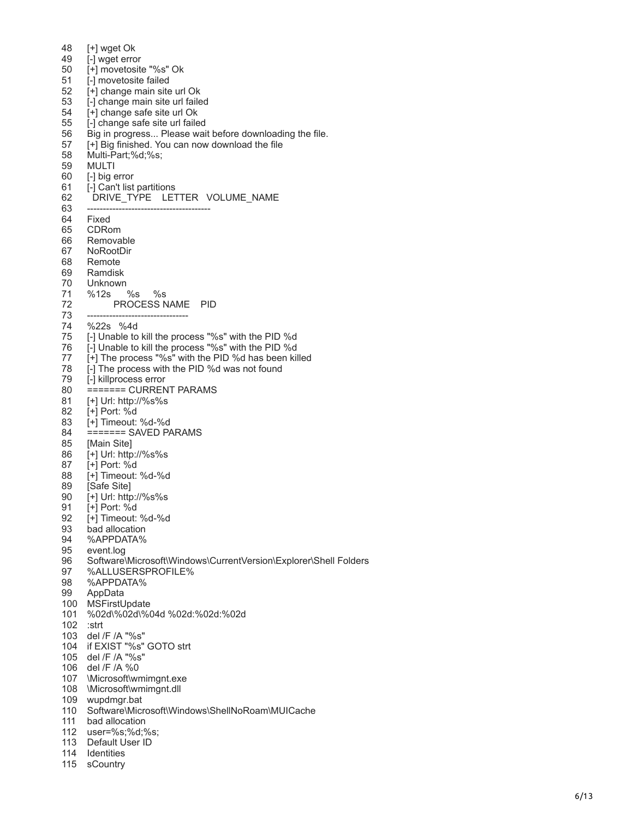48 49 50 51 52 53 54 55 56 57 58 59 60 61 62 63 64 65 66 67 68 69 70 71 72 73 74 75 76 77 78 79 80 81 82 83 84 85 86 87 88 89 90 91 92 93 94 95 96 97 98 99 100 MSFirstUpdate 101 102 :strt 103 del / F /A "%s" 104 if EXIST "%s" GOT O strt 105 del / F /A "%s" 106 del / F /A % 0 107 \Microsoft \wmimgnt.exe 108 \Microsoft \wmimgnt.dll 109 wupdmgr.bat 110 Software \Microsoft \Windows \ShellNoRoam \MUICache 111 bad allocation 112 user = % s;% d;% s; 113 Default User ID [ + ] wget Ok [ - ] wget error [ + ] movetosite "%s" Ok [ - ] movetosite failed [ + ] change main site url Ok [ - ] change main site url failed [ + ] change safe site url Ok [ - ] change safe site url failed Big in progress... Please wait before downloading the file. [+] Big finished. You can now download the file Multi -Part;% d;% s; MULTI [-] big error [-] Can't list partitions DRIVE\_TYPE LETTER VOLUME\_NAME -------------------------------------- - Fixed CDRom Removable NoRootDir Remote Ramdisk Unknown %12s % s % s PROCESS NAME PID -------------------------------- %22s %4d [-] Unable to kill the process "%s" with the PID % d [ - ] Unable to kill the process "%s" with the PID % d [ + ] The process "%s" with the PID % d has been killed [ - ] The process with the PID % d was not found [ - ] killprocess error ====== = CURRENT PARAMS [ + ] Url: http://%s%s [ + ] Port: % d [ + ] Timeout: % d - % d ====== = SAVED PARAMS [Main Site ] [ + ] Url: http://%s%s [ + ] Port: % d [ + ] Timeout: % d - % d [Safe Site ] [ + ] Url: http://%s%s [ + ] Port: % d [ + ] Timeout: % d - % d bad allocation %APPDATA% event.log Software\Microsoft\Windows\CurrentVersion\Explorer\Shell Folders %ALLUSERSPROFILE % %APPDATA % AppData %02d\%02d\%04d %02d:%02d:%02d

- 114 Identities
- 115 sCountry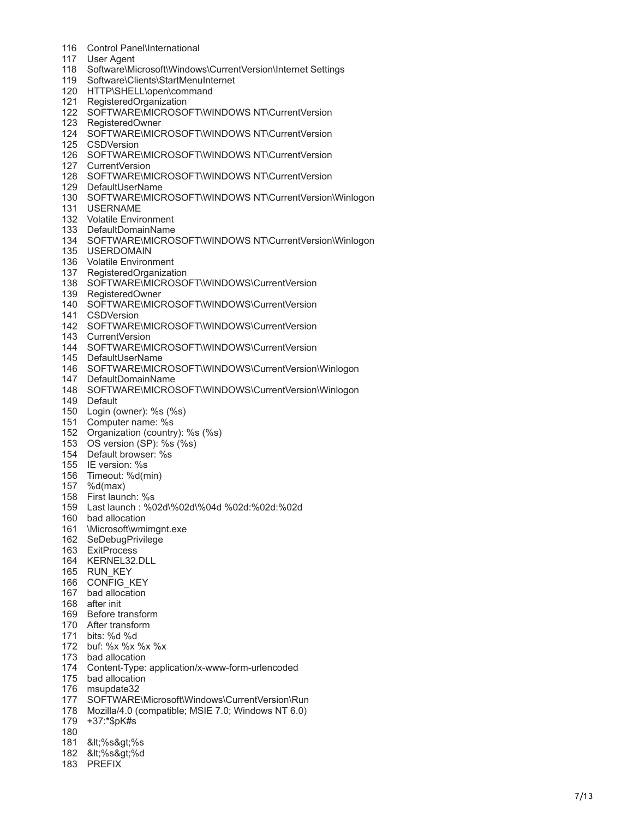- Control Panel \International
- User Agent
- Software\Microsoft\Windows\CurrentVersion\Internet Settings
- Software \Clients \StartMenuInternet
- 120 HTTP\SHELL\open\command
- RegisteredOrganization
- SOFTWARE\MICROSOFT\WINDOWS NT\CurrentVersion
- RegisteredOwner
- 124 SOFTWARE\MICROSOFT\WINDOWS NT\CurrentVersion
- CSDVersion
- 126 SOFTWARE\MICROSOFT\WINDOWS NT\CurrentVersion
- CurrentVersion
- 128 SOFTWARE\MICROSOFT\WINDOWS NT\CurrentVersion
- DefaultUserName
- 130 SOFTWARE\MICROSOFT\WINDOWS NT\CurrentVersion\Winlogon
- USERNAME
- Volatile Environment
- DefaultDomainName
- 134 SOFTWARE\MICROSOFT\WINDOWS NT\CurrentVersion\Winlogon
- USERDOMAIN
- Volatile Environment
- RegisteredOrganization
- SOFTWARE\MICROSOFT\WINDOWS\CurrentVersion
- RegisteredOwner
- 140 SOFTWARE\MICROSOFT\WINDOWS\CurrentVersion
- CSDVersion
- 142 SOFTWARE\MICROSOFT\WINDOWS\CurrentVersion
- CurrentVersion
- 144 SOFTWARE\MICROSOFT\WINDOWS\CurrentVersion
- DefaultUserName
- 146 SOFTWARE\MICROSOFT\WINDOWS\CurrentVersion\Winlogon
- DefaultDomainName
- 148 SOFTWARE\MICROSOFT\WINDOWS\CurrentVersion\Winlogon
- Default
- 150 Login (owner): %s (%s)
- Computer name: % s
- 152 Organization (country): %s (%s)
- 153 OS version (SP): %s (%s)
- Default browser: % s
- IE version: % s
- Timeout: % d (min )
- %d(max)
- First launch: % s
- 159 Last launch: %02d\%02d\%04d %02d:%02d:%02d
- bad allocation
- \Microsoft\wmimgnt.exe
- SeDebugPrivilege
- ExitProcess
- KERNEL32.DLL
- RUN\_KEY
- CONFIG\_KEY
- bad allocation
- after init
- Before transform
- After transform
- bits: % d % d
- buf: % x % x % x % x
- bad allocation
- Content Type: application / x -www -form -urlencoded
- bad allocation
- msupdate32
- 177 SOFTWARE\Microsoft\Windows\CurrentVersion\Run
- Mozilla /4.0 (compatible; MSIE 7.0; Windows NT 6.0 )
- +37:\* \$pK#s
- 
- 181 <%s&gt;%s
- 182 <%s&gt;%d
- PREFIX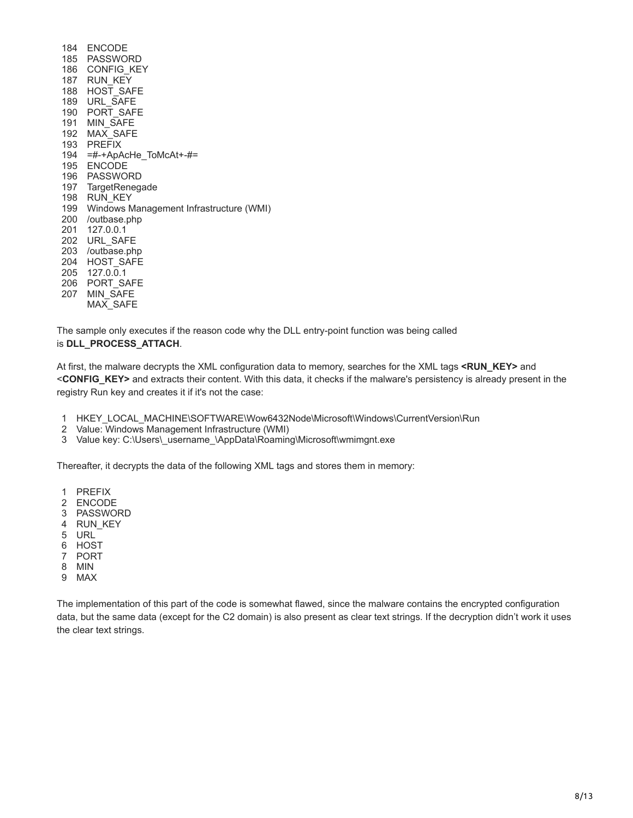ENCODE PASSWORD CONFIG\_KEY RUN\_KEY HOST\_SAFE URL\_SAFE PORT\_SAFE MIN\_SAFE MAX\_SAFE PREFIX =#-+ApAcHe\_ToMcAt+-#= ENCODE PASSWORD TargetRenegade RUN\_KEY Windows Management Infrastructure (WMI) /outbase.php 127.0.0.1 URL\_SAFE /outbase.php HOST\_SAFE 127.0.0.1 PORT\_SAFE MIN\_SAFE  $MAX$  SAFE

The sample only executes if the reason code why the DLL entry-point function was being called is **DLL\_PROCESS\_ATTACH**.

At first, the malware decrypts the XML configuration data to memory, searches for the XML tags **<RUN\_KEY>** and <**CONFIG\_KEY>** and extracts their content. With this data, it checks if the malware's persistency is already present in the registry Run key and creates it if it's not the case:

- HKEY\_LOCAL\_MACHINE\SOFTWARE\Wow6432Node\Microsoft\Windows\CurrentVersion\Run
- Value: Windows Management Infrastructure (WMI)
- Value key: C:\Users\\_username\_\AppData\Roaming\Microsoft\wmimgnt.exe

Thereafter, it decrypts the data of the following XML tags and stores them in memory:

- PREFIX
- ENCODE
- PASSWORD
- RUN\_KEY
- URL
- HOST
- PORT
- MIN
- MAX

The implementation of this part of the code is somewhat flawed, since the malware contains the encrypted configuration data, but the same data (except for the C2 domain) is also present as clear text strings. If the decryption didn't work it uses the clear text strings.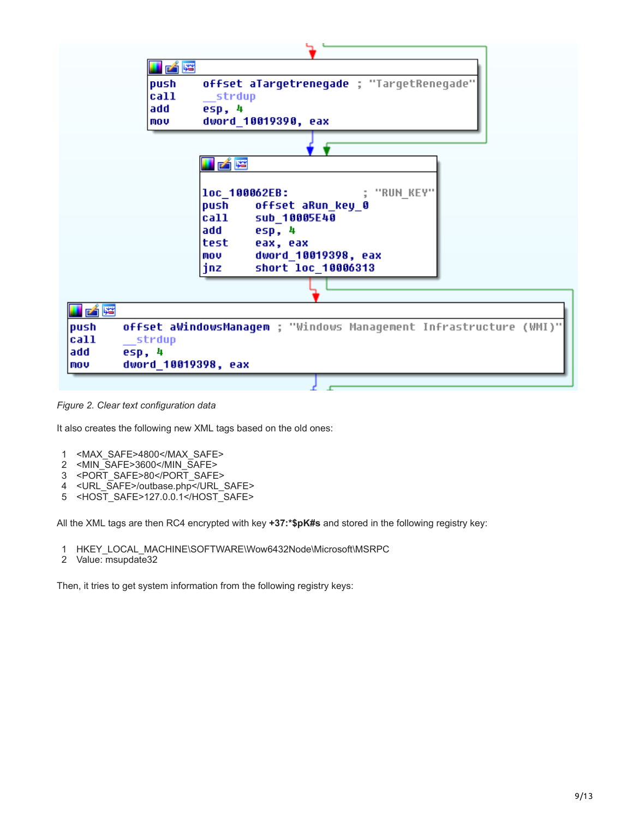

*Figure 2. Clear text configuration data*

It also creates the following new XML tags based on the old ones:

- 1 <MAX\_SAFE>4800</MAX\_SAFE>
- 2 <MIN\_SAFE>3600</MIN\_SAFE>
- 3 <PORT\_SAFE>80</PORT\_SAFE>
- 4 <URL\_SAFE>/outbase.php</URL\_SAFE>
- 5 <HOST\_SAFE>127.0.0.1</HOST\_SAFE>

All the XML tags are then RC4 encrypted with key **+37:\*\$pK#s** and stored in the following registry key:

- 1 HKEY\_LOCAL\_MACHINE\SOFTWARE\Wow6432Node\Microsoft\MSRPC
- 2 Value: msupdate32

Then, it tries to get system information from the following registry keys: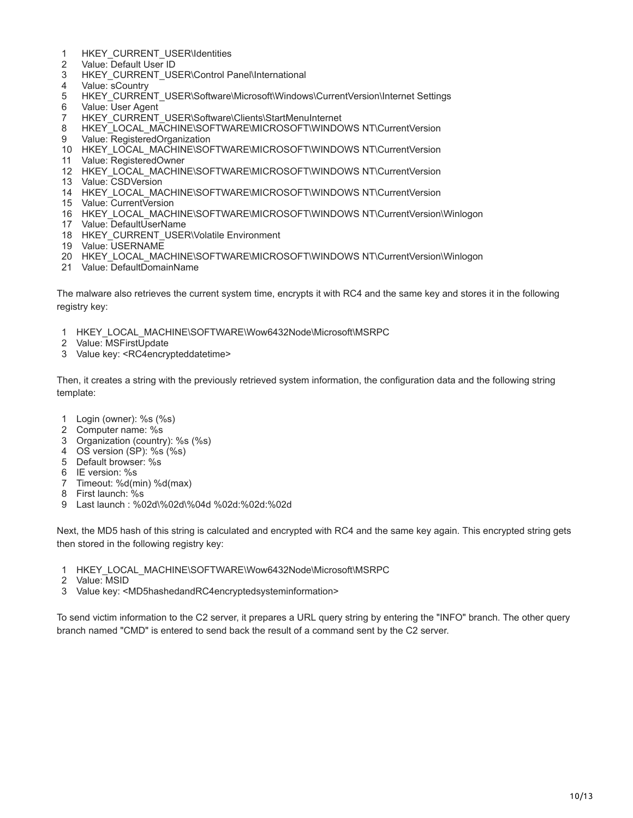- HKEY\_CURRENT\_USER\Identities
- Value: Default User ID
- HKEY\_CURRENT\_USER\Control Panel\International
- Value: sCountry
- HKEY\_CURRENT\_USER\Software\Microsoft\Windows\CurrentVersion\Internet Settings
- Value: User Agent
- HKEY\_CURRENT\_USER\Software\Clients\StartMenuInternet
- HKEY\_LOCAL\_MACHINE\SOFTWARE\MICROSOFT\WINDOWS NT\CurrentVersion
- Value: RegisteredOrganization
- HKEY\_LOCAL\_MACHINE\SOFTWARE\MICROSOFT\WINDOWS NT\CurrentVersion
- Value: RegisteredOwner
- HKEY\_LOCAL\_MACHINE\SOFTWARE\MICROSOFT\WINDOWS NT\CurrentVersion
- Value: CSDVersion
- HKEY\_LOCAL\_MACHINE\SOFTWARE\MICROSOFT\WINDOWS NT\CurrentVersion
- Value: CurrentVersion
- HKEY\_LOCAL\_MACHINE\SOFTWARE\MICROSOFT\WINDOWS NT\CurrentVersion\Winlogon
- Value: DefaultUserName
- HKEY\_CURRENT\_USER\Volatile Environment
- Value: USERNAME
- HKEY\_LOCAL\_MACHINE\SOFTWARE\MICROSOFT\WINDOWS NT\CurrentVersion\Winlogon
- Value: DefaultDomainName

The malware also retrieves the current system time, encrypts it with RC4 and the same key and stores it in the following registry key:

- HKEY\_LOCAL\_MACHINE\SOFTWARE\Wow6432Node\Microsoft\MSRPC
- Value: MSFirstUpdate
- Value key: <RC4encrypteddatetime>

Then, it creates a string with the previously retrieved system information, the configuration data and the following string template:

- Login (owner): %s (%s)
- Computer name: %s
- Organization (country): %s (%s)
- OS version (SP): %s (%s)
- Default browser: %s
- IE version: %s
- Timeout: %d(min) %d(max)
- First launch: %s
- Last launch : %02d\%02d\%04d %02d:%02d:%02d

Next, the MD5 hash of this string is calculated and encrypted with RC4 and the same key again. This encrypted string gets then stored in the following registry key:

- HKEY\_LOCAL\_MACHINE\SOFTWARE\Wow6432Node\Microsoft\MSRPC
- Value: MSID
- Value key: <MD5hashedandRC4encryptedsysteminformation>

To send victim information to the C2 server, it prepares a URL query string by entering the "INFO" branch. The other query branch named "CMD" is entered to send back the result of a command sent by the C2 server.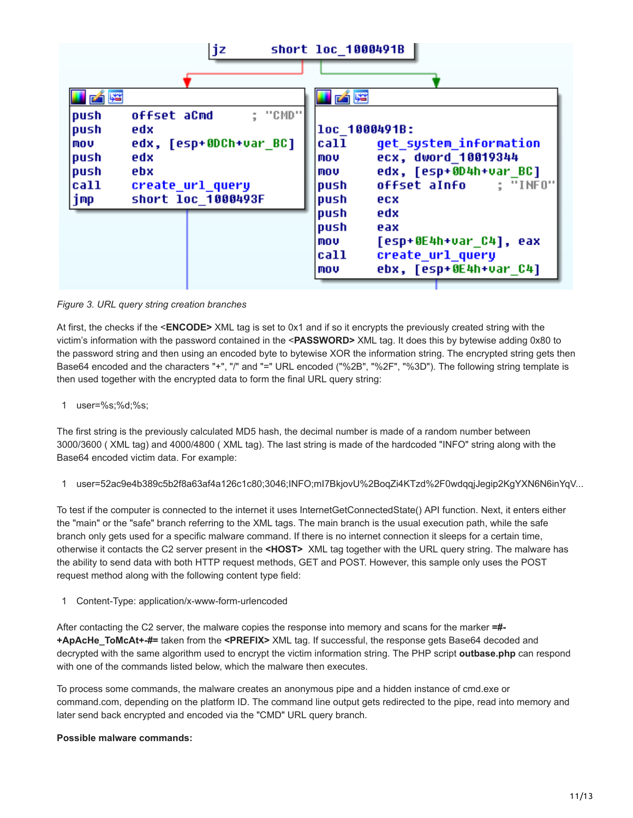

#### *Figure 3. URL query string creation branches*

At first, the checks if the <**ENCODE>** XML tag is set to 0x1 and if so it encrypts the previously created string with the victim's information with the password contained in the <**PASSWORD>** XML tag. It does this by bytewise adding 0x80 to the password string and then using an encoded byte to bytewise XOR the information string. The encrypted string gets then Base64 encoded and the characters "+", "/" and "=" URL encoded ("%2B", "%2F", "%3D"). The following string template is then used together with the encrypted data to form the final URL query string:

1 user=%s;%d;%s;

The first string is the previously calculated MD5 hash, the decimal number is made of a random number between 3000/3600 ( XML tag) and 4000/4800 ( XML tag). The last string is made of the hardcoded "INFO" string along with the Base64 encoded victim data. For example:

1 user=52ac9e4b389c5b2f8a63af4a126c1c80;3046;INFO;mI7BkjovU%2BoqZi4KTzd%2F0wdqqjJegip2KgYXN6N6inYqV...

To test if the computer is connected to the internet it uses InternetGetConnectedState() API function. Next, it enters either the "main" or the "safe" branch referring to the XML tags. The main branch is the usual execution path, while the safe branch only gets used for a specific malware command. If there is no internet connection it sleeps for a certain time, otherwise it contacts the C2 server present in the **<HOST>** XML tag together with the URL query string. The malware has the ability to send data with both HTTP request methods, GET and POST. However, this sample only uses the POST request method along with the following content type field:

1 Content-Type: application/x-www-form-urlencoded

After contacting the C2 server, the malware copies the response into memory and scans for the marker **=#- +ApAcHe\_ToMcAt+-#=** taken from the **<PREFIX>** XML tag. If successful, the response gets Base64 decoded and decrypted with the same algorithm used to encrypt the victim information string. The PHP script **outbase.php** can respond with one of the commands listed below, which the malware then executes.

To process some commands, the malware creates an anonymous pipe and a hidden instance of cmd.exe or command.com, depending on the platform ID. The command line output gets redirected to the pipe, read into memory and later send back encrypted and encoded via the "CMD" URL query branch.

#### **Possible malware commands:**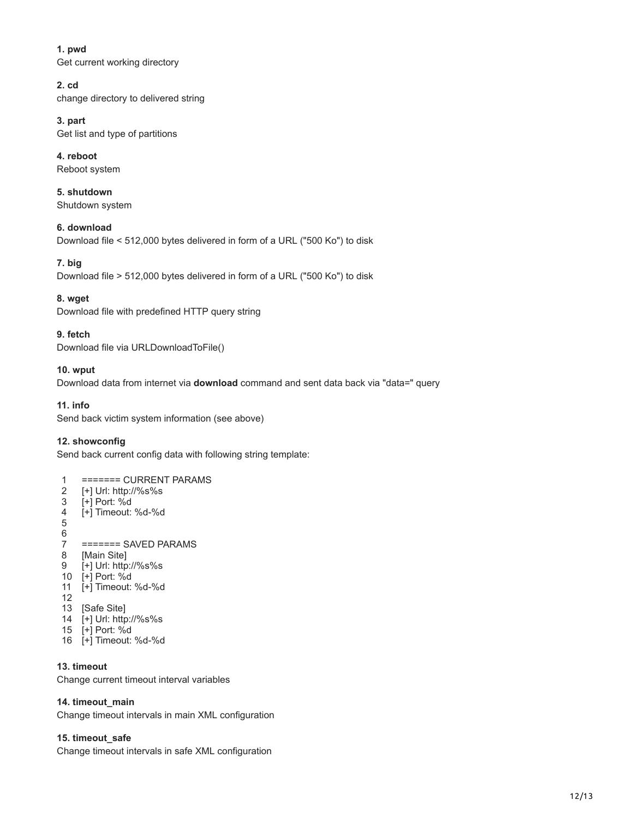#### **1. pwd**

Get current working directory

#### **2. cd**

change directory to delivered string

### **3. part**

Get list and type of partitions

#### **4. reboot** Reboot system

**5. shutdown** Shutdown system

**6. download** Download file < 512,000 bytes delivered in form of a URL ("500 Ko") to disk

#### **7. big**

Download file > 512,000 bytes delivered in form of a URL ("500 Ko") to disk

#### **8. wget**

Download file with predefined HTTP query string

#### **9. fetch**

Download file via URLDownloadToFile()

#### **10. wput**

Download data from internet via **download** command and sent data back via "data=" query

#### **11. info**

Send back victim system information (see above)

#### **12. showconfig**

Send back current config data with following string template:

#### 1 ======= CURRENT PARAMS

- 2 [+] Url: http://%s%s
- 3 [+] Port: %d
- 4 [+] Timeout: %d-%d

5

- 6 7 ======= SAVED PARAMS
- 8 [Main Site]
- 9 [+] Url: http://%s%s
- 10 [+] Port: %d
- 11 [+] Timeout: %d-%d
- 12
- 13 [Safe Site]
- 14 [+] Url: http://%s%s 15 [+] Port: %d
- 16 [+] Timeout: %d-%d

#### **13. timeout**

Change current timeout interval variables

#### **14. timeout\_main**

Change timeout intervals in main XML configuration

#### **15. timeout\_safe**

Change timeout intervals in safe XML configuration